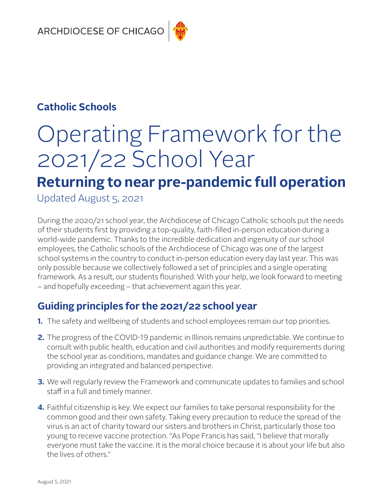## **Catholic Schools**

# Operating Framework for the 2021/22 School Year

## **Returning to near pre-pandemic full operation**

Updated August 5, 2o21

During the 2020/21 school year, the Archdiocese of Chicago Catholic schools put the needs of their students first by providing a top-quality, faith-filled in-person education during a world-wide pandemic. Thanks to the incredible dedication and ingenuity of our school employees, the Catholic schools of the Archdiocese of Chicago was one of the largest school systems in the country to conduct in-person education every day last year. This was only possible because we collectively followed a set of principles and a single operating framework. As a result, our students flourished. With your help, we look forward to meeting – and hopefully exceeding – that achievement again this year.

## **Guiding principles for the 2021/22 school year**

- **1.** The safety and wellbeing of students and school employees remain our top priorities.
- **2.** The progress of the COVID-19 pandemic in Illinois remains unpredictable. We continue to consult with public health, education and civil authorities and modify requirements during the school year as conditions, mandates and guidance change. We are committed to providing an integrated and balanced perspective.
- **3.** We will regularly review the Framework and communicate updates to families and school staff in a full and timely manner.
- **4.** Faithful citizenship is key. We expect our families to take personal responsibility for the common good and their own safety. Taking every precaution to reduce the spread of the virus is an act of charity toward our sisters and brothers in Christ, particularly those too young to receive vaccine protection. "As Pope Francis has said, "I believe that morally everyone must take the vaccine. It is the moral choice because it is about your life but also the lives of others."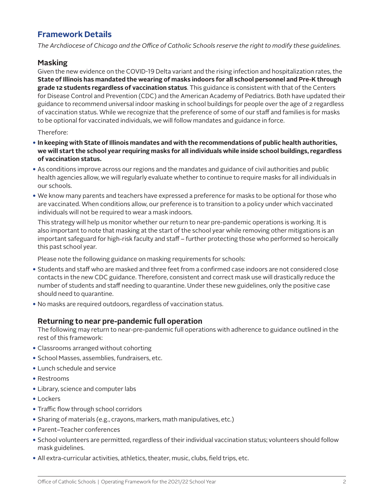#### **Framework Details**

*The Archdiocese of Chicago and the Office of Catholic Schools reserve the right to modify these guidelines.*

#### **Masking**

Given the new evidence on the COVID-19 Delta variant and the rising infection and hospitalization rates, the **State of Illinois has mandated the wearing of masks indoors for all school personnel and Pre-K through grade 12 students regardless of vaccination status**. This guidance is consistent with that of the Centers for Disease Control and Prevention (CDC) and the American Academy of Pediatrics. Both have updated their guidance to recommend universal indoor masking in school buildings for people over the age of 2 regardless of vaccination status. While we recognize that the preference of some of our staff and families is for masks to be optional for vaccinated individuals, we will follow mandates and guidance in force.

#### Therefore:

- •**In keeping with State of Illinois mandates and with the recommendations of public health authorities, we will start the school year requiring masks for all individuals while inside school buildings, regardless of vaccination status.**
- As conditions improve across our regions and the mandates and guidance of civil authorities and public health agencies allow, we will regularly evaluate whether to continue to require masks for all individuals in our schools.
- We know many parents and teachers have expressed a preference for masks to be optional for those who are vaccinated. When conditions allow, our preference is to transition to a policy under which vaccinated individuals will not be required to wear a mask indoors.

This strategy will help us monitor whether our return to near pre-pandemic operations is working. It is also important to note that masking at the start of the school year while removing other mitigations is an important safeguard for high-risk faculty and staff – further protecting those who performed so heroically this past school year.

Please note the following guidance on masking requirements for schools:

- Students and staff who are masked and three feet from a confirmed case indoors are not considered close contacts in the new CDC guidance. Therefore, consistent and correct mask use will drastically reduce the number of students and staff needing to quarantine. Under these new guidelines, only the positive case should need to quarantine.
- No masks are required outdoors, regardless of vaccination status.

#### **Returning to near pre-pandemic full operation**

The following may return to near-pre-pandemic full operations with adherence to guidance outlined in the rest of this framework:

- Classrooms arranged without cohorting
- School Masses, assemblies, fundraisers, etc.
- Lunch schedule and service
- Restrooms
- Library, science and computer labs
- Lockers
- Traffic flow through school corridors
- Sharing of materials (e.g., crayons, markers, math manipulatives, etc.)
- Parent–Teacher conferences
- School volunteers are permitted, regardless of their individual vaccination status; volunteers should follow mask guidelines.
- All extra-curricular activities, athletics, theater, music, clubs, field trips, etc.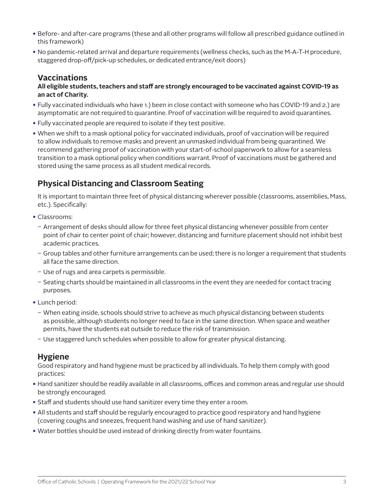- Before- and after-care programs (these and all other programs will follow all prescribed guidance outlined in this framework)
- No pandemic-related arrival and departure requirements (wellness checks, such as the M-A-T-H procedure, staggered drop-off/pick-up schedules, or dedicated entrance/exit doors)

#### **Vaccinations**

#### **All eligible students, teachers and staff are strongly encouraged to be vaccinated against COVID-19 as an act of Charity.**

- Fully vaccinated individuals who have 1.) been in close contact with someone who has COVID-19 and 2.) are asymptomatic are not required to quarantine. Proof of vaccination will be required to avoid quarantines.
- Fully vaccinated people are required to isolate if they test positive.
- When we shift to a mask optional policy for vaccinated individuals, proof of vaccination will be required to allow individuals to remove masks and prevent an unmasked individual from being quarantined. We recommend gathering proof of vaccination with your start-of-school paperwork to allow for a seamless transition to a mask optional policy when conditions warrant. Proof of vaccinations must be gathered and stored using the same process as all student medical records.

## **Physical Distancing and Classroom Seating**

It is important to maintain three feet of physical distancing wherever possible (classrooms, assemblies, Mass, etc.). Specifically:

- Classrooms:
	- Arrangement of desks should allow for three feet physical distancing whenever possible from center point of chair to center point of chair; however, distancing and furniture placement should not inhibit best academic practices.
	- ͂ Group tables and other furniture arrangements can be used; there is no longer a requirement that students all face the same direction.
	- Use of rugs and area carpets is permissible.
	- Seating charts should be maintained in all classrooms in the event they are needed for contact tracing purposes.
- Lunch period:
	- When eating inside, schools should strive to achieve as much physical distancing between students as possible, although students no longer need to face in the same direction. When space and weather permits, have the students eat outside to reduce the risk of transmission.
	- Use staggered lunch schedules when possible to allow for greater physical distancing.

## **Hygiene**

Good respiratory and hand hygiene must be practiced by all individuals. To help them comply with good practices:

- Hand sanitizer should be readily available in all classrooms, offices and common areas and regular use should be strongly encouraged.
- Staff and students should use hand sanitizer every time they enter a room.
- All students and staff should be regularly encouraged to practice good respiratory and hand hygiene (covering coughs and sneezes, frequent hand washing and use of hand sanitizer).
- Water bottles should be used instead of drinking directly from water fountains.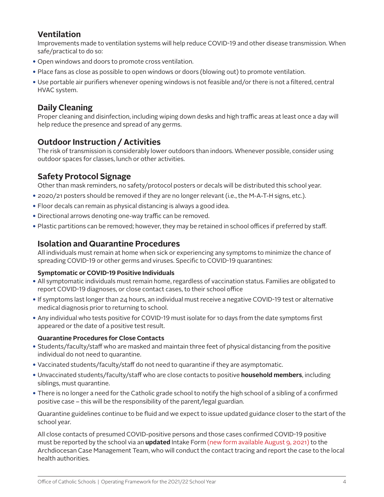#### **Ventilation**

Improvements made to ventilation systems will help reduce COVID-19 and other disease transmission. When safe/practical to do so:

- Open windows and doors to promote cross ventilation.
- Place fans as close as possible to open windows or doors (blowing out) to promote ventilation.
- Use portable air purifiers whenever opening windows is not feasible and/or there is not a filtered, central HVAC system.

## **Daily Cleaning**

Proper cleaning and disinfection, including wiping down desks and high traffic areas at least once a day will help reduce the presence and spread of any germs.

## **Outdoor Instruction / Activities**

The risk of transmission is considerably lower outdoors than indoors. Whenever possible, consider using outdoor spaces for classes, lunch or other activities.

## **Safety Protocol Signage**

Other than mask reminders, no safety/protocol posters or decals will be distributed this school year.

- 2020/21 posters should be removed if they are no longer relevant (i.e., the M-A-T-H signs, etc.).
- Floor decals can remain as physical distancing is always a good idea.
- Directional arrows denoting one-way traffic can be removed.
- Plastic partitions can be removed; however, they may be retained in school offices if preferred by staff.

#### **Isolation and Quarantine Procedures**

All individuals must remain at home when sick or experiencing any symptoms to minimize the chance of spreading COVID-19 or other germs and viruses. Specific to COVID-19 quarantines:

#### **Symptomatic or COVID-19 Positive Individuals**

- All symptomatic individuals must remain home, regardless of vaccination status. Families are obligated to report COVID-19 diagnoses, or close contact cases, to their school office
- •If symptoms last longer than 24 hours, an individual must receive a negative COVID-19 test or alternative medical diagnosis prior to returning to school.
- Any individual who tests positive for COVID-19 must isolate for 10 days from the date symptoms first appeared or the date of a positive test result.

#### **Quarantine Procedures for Close Contacts**

- Students/faculty/staff who are masked and maintain three feet of physical distancing from the positive individual do not need to quarantine.
- Vaccinated students/faculty/staff do not need to quarantine if they are asymptomatic.
- Unvaccinated students/faculty/staff who are close contacts to positive **household members**, including siblings, must quarantine.
- There is no longer a need for the Catholic grade school to notify the high school of a sibling of a confirmed positive case – this will be the responsibility of the parent/legal guardian.

Quarantine guidelines continue to be fluid and we expect to issue updated guidance closer to the start of the school year.

All close contacts of presumed COVID-positive persons and those cases confirmed COVID-19 positive must be reported by the school via an **updated** Intake Form (new form available August 9, 2021) to the Archdiocesan Case Management Team, who will conduct the contact tracing and report the case to the local health authorities.